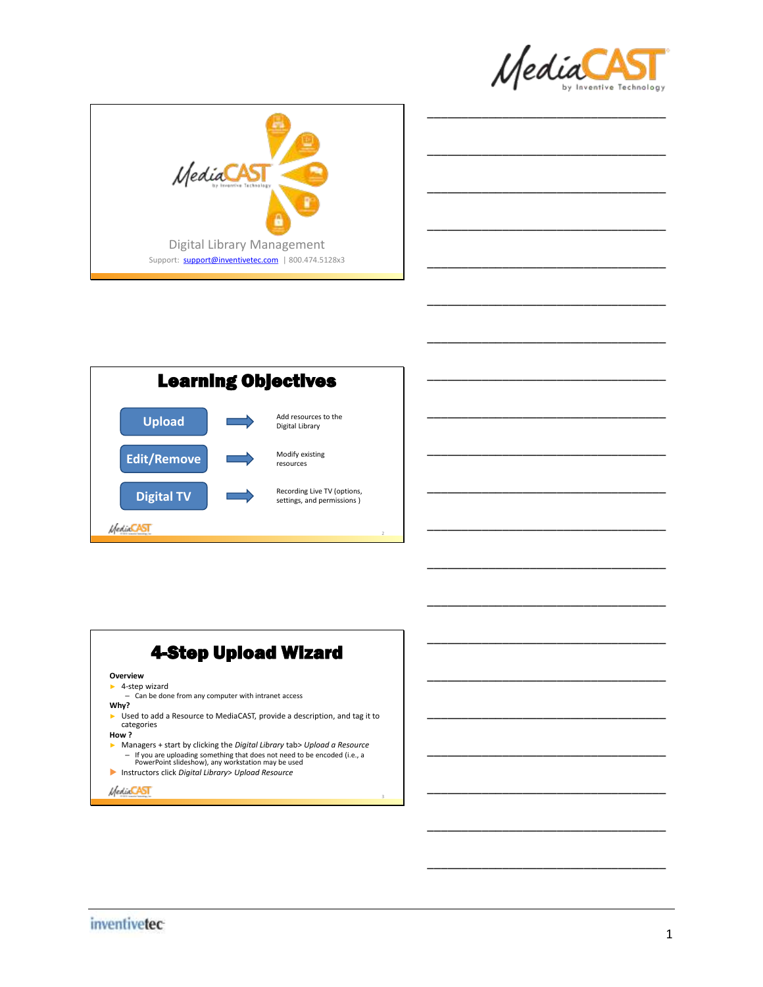

\_\_\_\_\_\_\_\_\_\_\_\_\_\_\_\_\_\_\_\_\_\_\_\_\_\_\_\_\_\_\_\_\_\_\_

\_\_\_\_\_\_\_\_\_\_\_\_\_\_\_\_\_\_\_\_\_\_\_\_\_\_\_\_\_\_\_\_\_\_\_

\_\_\_\_\_\_\_\_\_\_\_\_\_\_\_\_\_\_\_\_\_\_\_\_\_\_\_\_\_\_\_\_\_\_\_

\_\_\_\_\_\_\_\_\_\_\_\_\_\_\_\_\_\_\_\_\_\_\_\_\_\_\_\_\_\_\_\_\_\_\_

\_\_\_\_\_\_\_\_\_\_\_\_\_\_\_\_\_\_\_\_\_\_\_\_\_\_\_\_\_\_\_\_\_\_\_

\_\_\_\_\_\_\_\_\_\_\_\_\_\_\_\_\_\_\_\_\_\_\_\_\_\_\_\_\_\_\_\_\_\_\_

\_\_\_\_\_\_\_\_\_\_\_\_\_\_\_\_\_\_\_\_\_\_\_\_\_\_\_\_\_\_\_\_\_\_\_

\_\_\_\_\_\_\_\_\_\_\_\_\_\_\_\_\_\_\_\_\_\_\_\_\_\_\_\_\_\_\_\_\_\_\_

\_\_\_\_\_\_\_\_\_\_\_\_\_\_\_\_\_\_\_\_\_\_\_\_\_\_\_\_\_\_\_\_\_\_\_

\_\_\_\_\_\_\_\_\_\_\_\_\_\_\_\_\_\_\_\_\_\_\_\_\_\_\_\_\_\_\_\_\_\_\_

\_\_\_\_\_\_\_\_\_\_\_\_\_\_\_\_\_\_\_\_\_\_\_\_\_\_\_\_\_\_\_\_\_\_\_

\_\_\_\_\_\_\_\_\_\_\_\_\_\_\_\_\_\_\_\_\_\_\_\_\_\_\_\_\_\_\_\_\_\_\_

\_\_\_\_\_\_\_\_\_\_\_\_\_\_\_\_\_\_\_\_\_\_\_\_\_\_\_\_\_\_\_\_\_\_\_

\_\_\_\_\_\_\_\_\_\_\_\_\_\_\_\_\_\_\_\_\_\_\_\_\_\_\_\_\_\_\_\_\_\_\_

\_\_\_\_\_\_\_\_\_\_\_\_\_\_\_\_\_\_\_\_\_\_\_\_\_\_\_\_\_\_\_\_\_\_\_

\_\_\_\_\_\_\_\_\_\_\_\_\_\_\_\_\_\_\_\_\_\_\_\_\_\_\_\_\_\_\_\_\_\_\_

\_\_\_\_\_\_\_\_\_\_\_\_\_\_\_\_\_\_\_\_\_\_\_\_\_\_\_\_\_\_\_\_\_\_\_

\_\_\_\_\_\_\_\_\_\_\_\_\_\_\_\_\_\_\_\_\_\_\_\_\_\_\_\_\_\_\_\_\_\_\_

\_\_\_\_\_\_\_\_\_\_\_\_\_\_\_\_\_\_\_\_\_\_\_\_\_\_\_\_\_\_\_\_\_\_\_



| <b>Learning Objectives</b> |  |                                                           |  |
|----------------------------|--|-----------------------------------------------------------|--|
| <b>Upload</b>              |  | Add resources to the<br>Digital Library                   |  |
| <b>Edit/Remove</b>         |  | Modify existing<br>resources                              |  |
| <b>Digital TV</b>          |  | Recording Live TV (options,<br>settings, and permissions) |  |
|                            |  |                                                           |  |

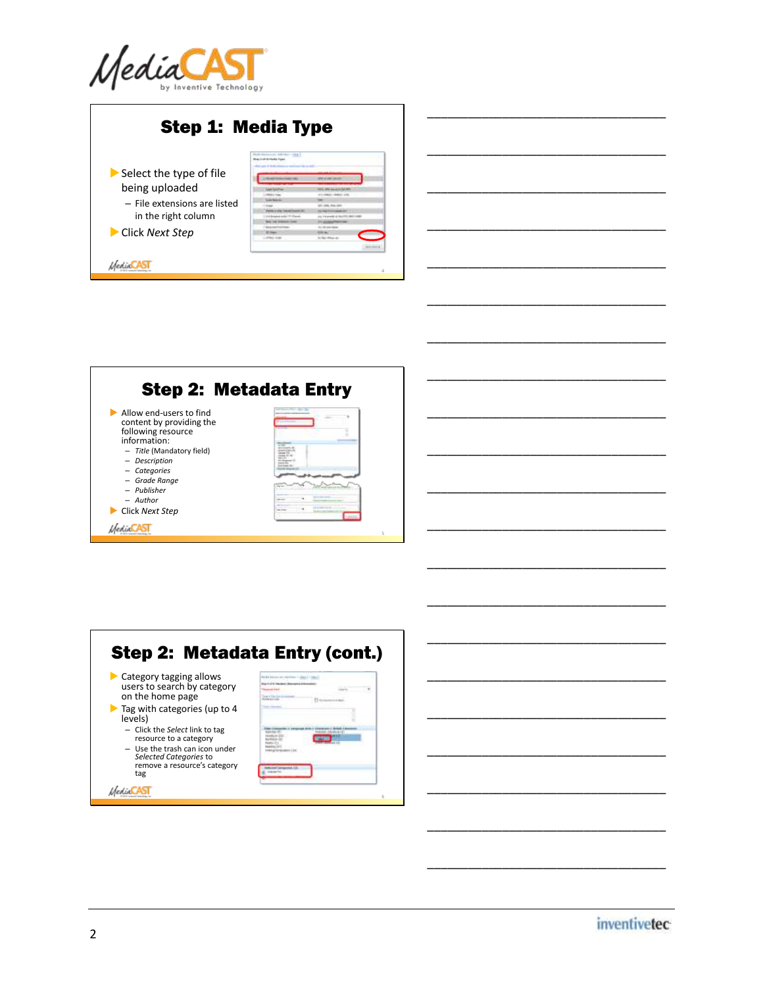

|                              | <b>Step 1: Media Type</b>          |                                                               |
|------------------------------|------------------------------------|---------------------------------------------------------------|
|                              | <b>Black Lock Activedes Four</b>   |                                                               |
| Select the type of file      |                                    |                                                               |
|                              |                                    | <b>PERSONAL PROPERTY</b>                                      |
| being uploaded               |                                    |                                                               |
|                              | <b>COLL Law</b>                    | <b>SIEL ARA backup in Tall 281</b><br><b>CLIMBER SHEET AT</b> |
| - File extensions are listed | <b>CALL BATALOG</b>                |                                                               |
|                              |                                    | all case doesn't                                              |
|                              |                                    |                                                               |
| in the right column          | to a december and at 10 March      | any the armoral and department against state                  |
|                              | <b>But he booms that</b>           |                                                               |
| Click Next Step              | <b>SEAMSTER</b><br><b>ST Trees</b> | <b><i><u>ATT AT THE STATE</u></i></b>                         |
|                              | <b>COLL CAR</b>                    | to the disease                                                |
|                              |                                    |                                                               |



| Category tagging allows                                  |  |
|----------------------------------------------------------|--|
| users to search by category                              |  |
| on the home page                                         |  |
| $\blacktriangleright$ Tag with categories (up to 4       |  |
| levels)                                                  |  |
|                                                          |  |
| - Click the Select link to tag<br>resource to a category |  |
|                                                          |  |
| - Use the trash can icon under                           |  |
| Selected Categories to<br>remove a resource's category   |  |
| tag                                                      |  |

inventivetec

\_\_\_\_\_\_\_\_\_\_\_\_\_\_\_\_\_\_\_\_\_\_\_\_\_\_\_\_\_\_\_\_\_\_\_

\_\_\_\_\_\_\_\_\_\_\_\_\_\_\_\_\_\_\_\_\_\_\_\_\_\_\_\_\_\_\_\_\_\_\_

\_\_\_\_\_\_\_\_\_\_\_\_\_\_\_\_\_\_\_\_\_\_\_\_\_\_\_\_\_\_\_\_\_\_\_

\_\_\_\_\_\_\_\_\_\_\_\_\_\_\_\_\_\_\_\_\_\_\_\_\_\_\_\_\_\_\_\_\_\_\_

\_\_\_\_\_\_\_\_\_\_\_\_\_\_\_\_\_\_\_\_\_\_\_\_\_\_\_\_\_\_\_\_\_\_\_

\_\_\_\_\_\_\_\_\_\_\_\_\_\_\_\_\_\_\_\_\_\_\_\_\_\_\_\_\_\_\_\_\_\_\_

\_\_\_\_\_\_\_\_\_\_\_\_\_\_\_\_\_\_\_\_\_\_\_\_\_\_\_\_\_\_\_\_\_\_\_

\_\_\_\_\_\_\_\_\_\_\_\_\_\_\_\_\_\_\_\_\_\_\_\_\_\_\_\_\_\_\_\_\_\_\_

\_\_\_\_\_\_\_\_\_\_\_\_\_\_\_\_\_\_\_\_\_\_\_\_\_\_\_\_\_\_\_\_\_\_\_

\_\_\_\_\_\_\_\_\_\_\_\_\_\_\_\_\_\_\_\_\_\_\_\_\_\_\_\_\_\_\_\_\_\_\_

\_\_\_\_\_\_\_\_\_\_\_\_\_\_\_\_\_\_\_\_\_\_\_\_\_\_\_\_\_\_\_\_\_\_\_

\_\_\_\_\_\_\_\_\_\_\_\_\_\_\_\_\_\_\_\_\_\_\_\_\_\_\_\_\_\_\_\_\_\_\_

\_\_\_\_\_\_\_\_\_\_\_\_\_\_\_\_\_\_\_\_\_\_\_\_\_\_\_\_\_\_\_\_\_\_\_

\_\_\_\_\_\_\_\_\_\_\_\_\_\_\_\_\_\_\_\_\_\_\_\_\_\_\_\_\_\_\_\_\_\_\_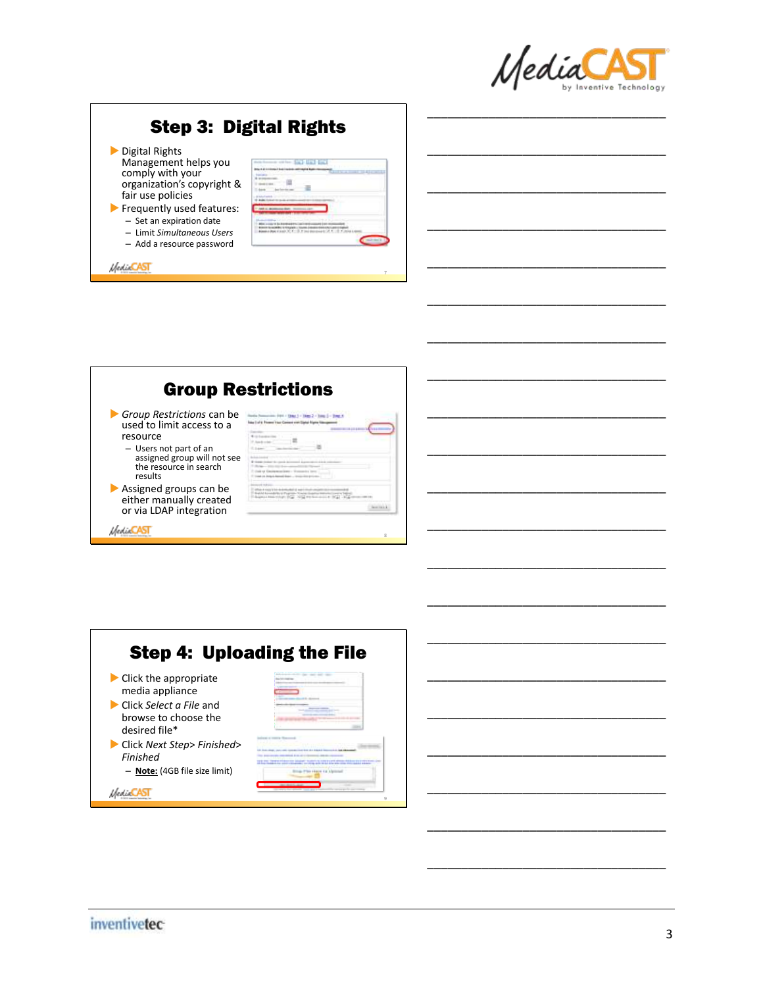

\_\_\_\_\_\_\_\_\_\_\_\_\_\_\_\_\_\_\_\_\_\_\_\_\_\_\_\_\_\_\_\_\_\_\_

\_\_\_\_\_\_\_\_\_\_\_\_\_\_\_\_\_\_\_\_\_\_\_\_\_\_\_\_\_\_\_\_\_\_\_

\_\_\_\_\_\_\_\_\_\_\_\_\_\_\_\_\_\_\_\_\_\_\_\_\_\_\_\_\_\_\_\_\_\_\_

\_\_\_\_\_\_\_\_\_\_\_\_\_\_\_\_\_\_\_\_\_\_\_\_\_\_\_\_\_\_\_\_\_\_\_

\_\_\_\_\_\_\_\_\_\_\_\_\_\_\_\_\_\_\_\_\_\_\_\_\_\_\_\_\_\_\_\_\_\_\_

\_\_\_\_\_\_\_\_\_\_\_\_\_\_\_\_\_\_\_\_\_\_\_\_\_\_\_\_\_\_\_\_\_\_\_

\_\_\_\_\_\_\_\_\_\_\_\_\_\_\_\_\_\_\_\_\_\_\_\_\_\_\_\_\_\_\_\_\_\_\_

\_\_\_\_\_\_\_\_\_\_\_\_\_\_\_\_\_\_\_\_\_\_\_\_\_\_\_\_\_\_\_\_\_\_\_

\_\_\_\_\_\_\_\_\_\_\_\_\_\_\_\_\_\_\_\_\_\_\_\_\_\_\_\_\_\_\_\_\_\_\_

\_\_\_\_\_\_\_\_\_\_\_\_\_\_\_\_\_\_\_\_\_\_\_\_\_\_\_\_\_\_\_\_\_\_\_

\_\_\_\_\_\_\_\_\_\_\_\_\_\_\_\_\_\_\_\_\_\_\_\_\_\_\_\_\_\_\_\_\_\_\_

\_\_\_\_\_\_\_\_\_\_\_\_\_\_\_\_\_\_\_\_\_\_\_\_\_\_\_\_\_\_\_\_\_\_\_

\_\_\_\_\_\_\_\_\_\_\_\_\_\_\_\_\_\_\_\_\_\_\_\_\_\_\_\_\_\_\_\_\_\_\_

\_\_\_\_\_\_\_\_\_\_\_\_\_\_\_\_\_\_\_\_\_\_\_\_\_\_\_\_\_\_\_\_\_\_\_

\_\_\_\_\_\_\_\_\_\_\_\_\_\_\_\_\_\_\_\_\_\_\_\_\_\_\_\_\_\_\_\_\_\_\_

\_\_\_\_\_\_\_\_\_\_\_\_\_\_\_\_\_\_\_\_\_\_\_\_\_\_\_\_\_\_\_\_\_\_\_

\_\_\_\_\_\_\_\_\_\_\_\_\_\_\_\_\_\_\_\_\_\_\_\_\_\_\_\_\_\_\_\_\_\_\_

\_\_\_\_\_\_\_\_\_\_\_\_\_\_\_\_\_\_\_\_\_\_\_\_\_\_\_\_\_\_\_\_\_\_\_

\_\_\_\_\_\_\_\_\_\_\_\_\_\_\_\_\_\_\_\_\_\_\_\_\_\_\_\_\_\_\_\_\_\_\_

\_\_\_\_\_\_\_\_\_\_\_\_\_\_\_\_\_\_\_\_\_\_\_\_\_\_\_\_\_\_\_\_\_\_\_

# Step 3: Digital Rights

- Digital Rights Management helps you comply with your organization's copyright & fair use policies
- Frequently used features: – Set an expiration date – Limit *Simultaneous Users*
	- Add a resource password

**MediaCAST** 



8

9

|                                                                              | <b>Group Restrictions</b> |
|------------------------------------------------------------------------------|---------------------------|
| Group Restrictions can be<br>used to limit access to a                       |                           |
| resource                                                                     |                           |
| - Users not part of an                                                       |                           |
| assigned group will not see<br>the resource in search<br>results             | trin it become them.      |
| Assigned groups can be<br>either manually created<br>or via LDAP integration |                           |

Step 4: Uploading the File Click the appropriate media appliance Click *Select a File* and browse to choose the desired file\* Click *Next Step*> *Finished*> *Finished* a learn san sion innter – **Note:** (4GB file size limit) regge en ligning *MediaCAST* 

#### *inventivetec*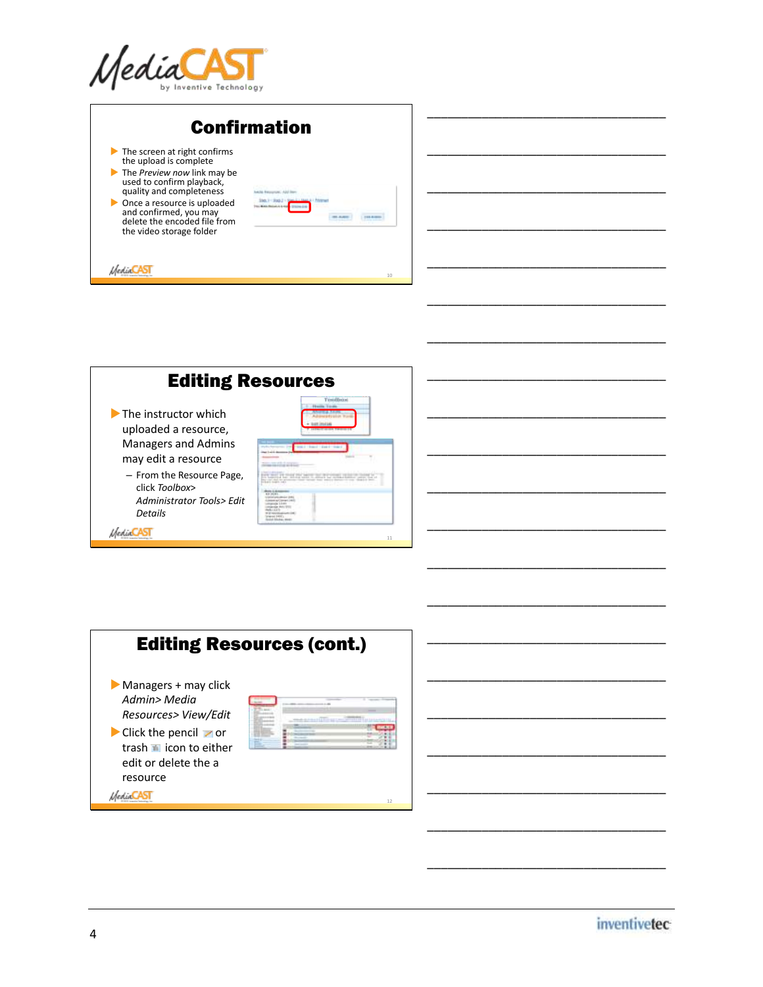

| <b>Confirmation</b>                                                                                                                                                                                                                                                                                                               |
|-----------------------------------------------------------------------------------------------------------------------------------------------------------------------------------------------------------------------------------------------------------------------------------------------------------------------------------|
| $\blacktriangleright$ The screen at right confirms<br>the upload is complete<br>The Preview now link may be<br>used to confirm playback,<br>quality and completeness<br>bacha diamonyari Airi in<br>Once a resource is uploaded<br>and confirmed, you may<br>\$15,000<br>delete the encoded file from<br>the video storage folder |
| 10                                                                                                                                                                                                                                                                                                                                |





\_\_\_\_\_\_\_\_\_\_\_\_\_\_\_\_\_\_\_\_\_\_\_\_\_\_\_\_\_\_\_\_\_\_\_

\_\_\_\_\_\_\_\_\_\_\_\_\_\_\_\_\_\_\_\_\_\_\_\_\_\_\_\_\_\_\_\_\_\_\_

\_\_\_\_\_\_\_\_\_\_\_\_\_\_\_\_\_\_\_\_\_\_\_\_\_\_\_\_\_\_\_\_\_\_\_

\_\_\_\_\_\_\_\_\_\_\_\_\_\_\_\_\_\_\_\_\_\_\_\_\_\_\_\_\_\_\_\_\_\_\_

\_\_\_\_\_\_\_\_\_\_\_\_\_\_\_\_\_\_\_\_\_\_\_\_\_\_\_\_\_\_\_\_\_\_\_

\_\_\_\_\_\_\_\_\_\_\_\_\_\_\_\_\_\_\_\_\_\_\_\_\_\_\_\_\_\_\_\_\_\_\_

\_\_\_\_\_\_\_\_\_\_\_\_\_\_\_\_\_\_\_\_\_\_\_\_\_\_\_\_\_\_\_\_\_\_\_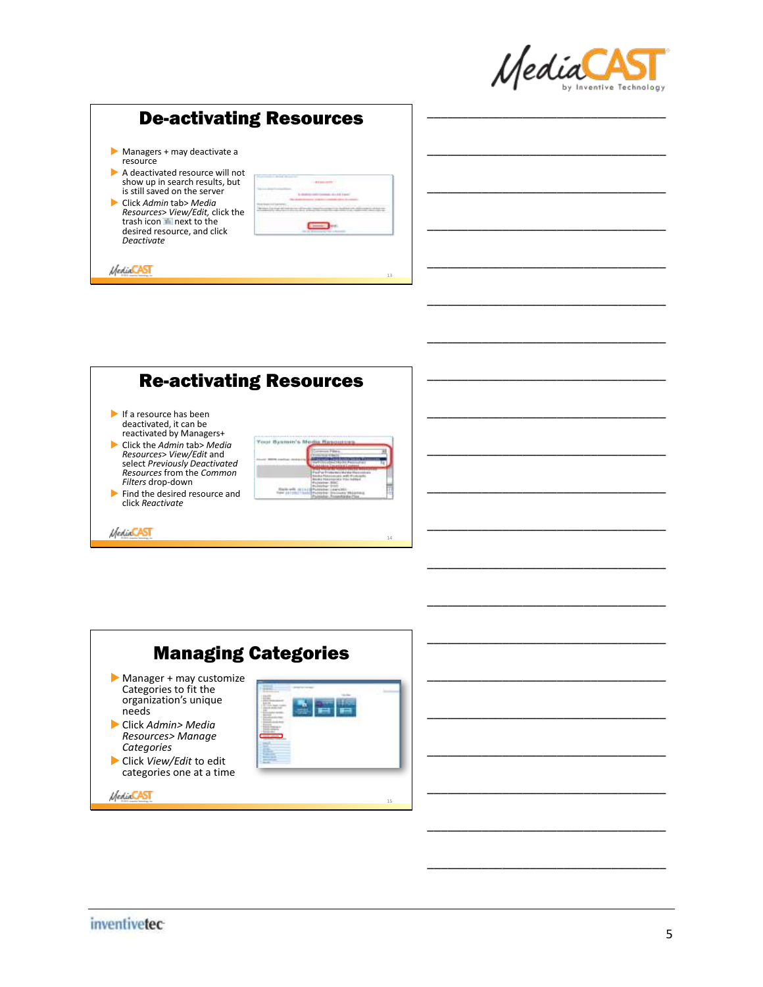

\_\_\_\_\_\_\_\_\_\_\_\_\_\_\_\_\_\_\_\_\_\_\_\_\_\_\_\_\_\_\_\_\_\_\_

\_\_\_\_\_\_\_\_\_\_\_\_\_\_\_\_\_\_\_\_\_\_\_\_\_\_\_\_\_\_\_\_\_\_\_

\_\_\_\_\_\_\_\_\_\_\_\_\_\_\_\_\_\_\_\_\_\_\_\_\_\_\_\_\_\_\_\_\_\_\_

\_\_\_\_\_\_\_\_\_\_\_\_\_\_\_\_\_\_\_\_\_\_\_\_\_\_\_\_\_\_\_\_\_\_\_

\_\_\_\_\_\_\_\_\_\_\_\_\_\_\_\_\_\_\_\_\_\_\_\_\_\_\_\_\_\_\_\_\_\_\_

\_\_\_\_\_\_\_\_\_\_\_\_\_\_\_\_\_\_\_\_\_\_\_\_\_\_\_\_\_\_\_\_\_\_\_

\_\_\_\_\_\_\_\_\_\_\_\_\_\_\_\_\_\_\_\_\_\_\_\_\_\_\_\_\_\_\_\_\_\_\_

\_\_\_\_\_\_\_\_\_\_\_\_\_\_\_\_\_\_\_\_\_\_\_\_\_\_\_\_\_\_\_\_\_\_\_

\_\_\_\_\_\_\_\_\_\_\_\_\_\_\_\_\_\_\_\_\_\_\_\_\_\_\_\_\_\_\_\_\_\_\_

\_\_\_\_\_\_\_\_\_\_\_\_\_\_\_\_\_\_\_\_\_\_\_\_\_\_\_\_\_\_\_\_\_\_\_

\_\_\_\_\_\_\_\_\_\_\_\_\_\_\_\_\_\_\_\_\_\_\_\_\_\_\_\_\_\_\_\_\_\_\_

\_\_\_\_\_\_\_\_\_\_\_\_\_\_\_\_\_\_\_\_\_\_\_\_\_\_\_\_\_\_\_\_\_\_\_

\_\_\_\_\_\_\_\_\_\_\_\_\_\_\_\_\_\_\_\_\_\_\_\_\_\_\_\_\_\_\_\_\_\_\_

\_\_\_\_\_\_\_\_\_\_\_\_\_\_\_\_\_\_\_\_\_\_\_\_\_\_\_\_\_\_\_\_\_\_\_

\_\_\_\_\_\_\_\_\_\_\_\_\_\_\_\_\_\_\_\_\_\_\_\_\_\_\_\_\_\_\_\_\_\_\_

## De-activating Resources

- Managers + may deactivate a resource
- A deactivated resource will not show up in search results, but is still saved on the server
- Click *Admin* tab> *Media Resources> View/Edit, click the*<br>trash icon ™ next to the<br>desired resource, and click<br>*Deactivate*

*MediaCAST* 

| т      |                          |
|--------|--------------------------|
| $\sim$ | ٠<br>×<br>$\overline{1}$ |
|        |                          |
|        |                          |
|        |                          |

13

14



|                                                                                    | <b>Managing Categories</b> |  |
|------------------------------------------------------------------------------------|----------------------------|--|
| Manager + may customize<br>Categories to fit the<br>organization's unique<br>needs | the model of               |  |
| Click Admin> Media<br>Resources> Manage<br>Categories                              |                            |  |
| Click View/Edit to edit<br>categories one at a time                                |                            |  |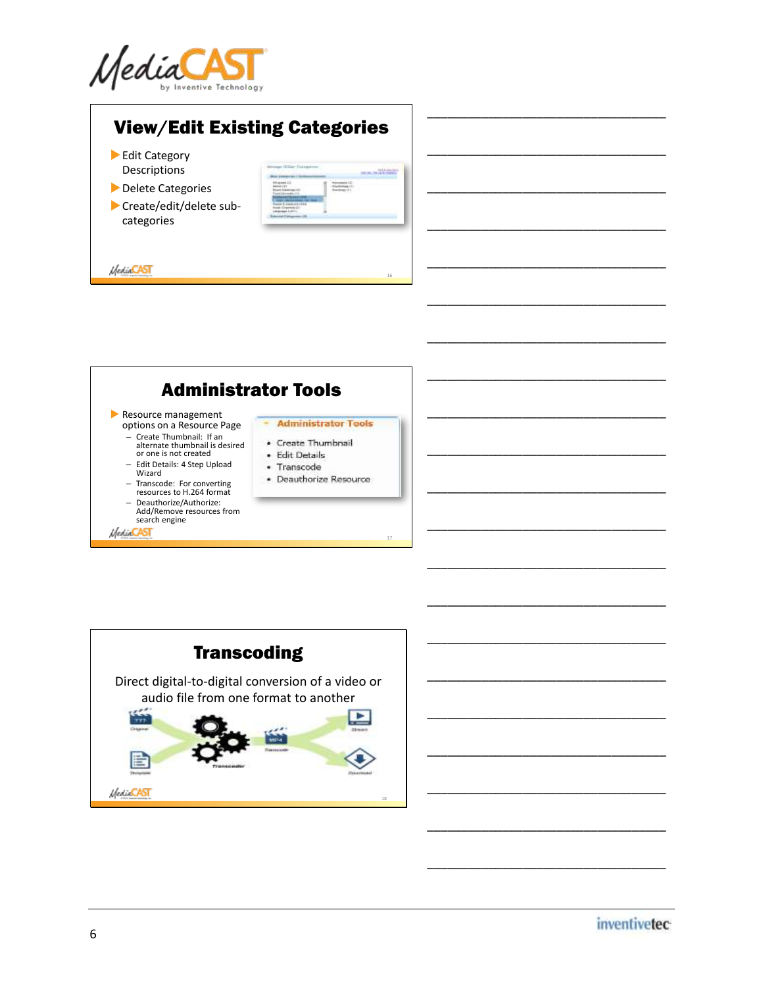

## View/Edit Existing Categories

Edit Category Descriptions

*MediaCAST* 

- **Delete Categories**
- Create/edit/delete subcategories

| ÷ |  |
|---|--|
| ٠ |  |
|   |  |

16

\_\_\_\_\_\_\_\_\_\_\_\_\_\_\_\_\_\_\_\_\_\_\_\_\_\_\_\_\_\_\_\_\_\_\_

\_\_\_\_\_\_\_\_\_\_\_\_\_\_\_\_\_\_\_\_\_\_\_\_\_\_\_\_\_\_\_\_\_\_\_

\_\_\_\_\_\_\_\_\_\_\_\_\_\_\_\_\_\_\_\_\_\_\_\_\_\_\_\_\_\_\_\_\_\_\_

\_\_\_\_\_\_\_\_\_\_\_\_\_\_\_\_\_\_\_\_\_\_\_\_\_\_\_\_\_\_\_\_\_\_\_

\_\_\_\_\_\_\_\_\_\_\_\_\_\_\_\_\_\_\_\_\_\_\_\_\_\_\_\_\_\_\_\_\_\_\_

\_\_\_\_\_\_\_\_\_\_\_\_\_\_\_\_\_\_\_\_\_\_\_\_\_\_\_\_\_\_\_\_\_\_\_

\_\_\_\_\_\_\_\_\_\_\_\_\_\_\_\_\_\_\_\_\_\_\_\_\_\_\_\_\_\_\_\_\_\_\_

\_\_\_\_\_\_\_\_\_\_\_\_\_\_\_\_\_\_\_\_\_\_\_\_\_\_\_\_\_\_\_\_\_\_\_

\_\_\_\_\_\_\_\_\_\_\_\_\_\_\_\_\_\_\_\_\_\_\_\_\_\_\_\_\_\_\_\_\_\_\_

\_\_\_\_\_\_\_\_\_\_\_\_\_\_\_\_\_\_\_\_\_\_\_\_\_\_\_\_\_\_\_\_\_\_\_

\_\_\_\_\_\_\_\_\_\_\_\_\_\_\_\_\_\_\_\_\_\_\_\_\_\_\_\_\_\_\_\_\_\_\_

\_\_\_\_\_\_\_\_\_\_\_\_\_\_\_\_\_\_\_\_\_\_\_\_\_\_\_\_\_\_\_\_\_\_\_

\_\_\_\_\_\_\_\_\_\_\_\_\_\_\_\_\_\_\_\_\_\_\_\_\_\_\_\_\_\_\_\_\_\_\_

\_\_\_\_\_\_\_\_\_\_\_\_\_\_\_\_\_\_\_\_\_\_\_\_\_\_\_\_\_\_\_\_\_\_\_

\_\_\_\_\_\_\_\_\_\_\_\_\_\_\_\_\_\_\_\_\_\_\_\_\_\_\_\_\_\_\_\_\_\_\_



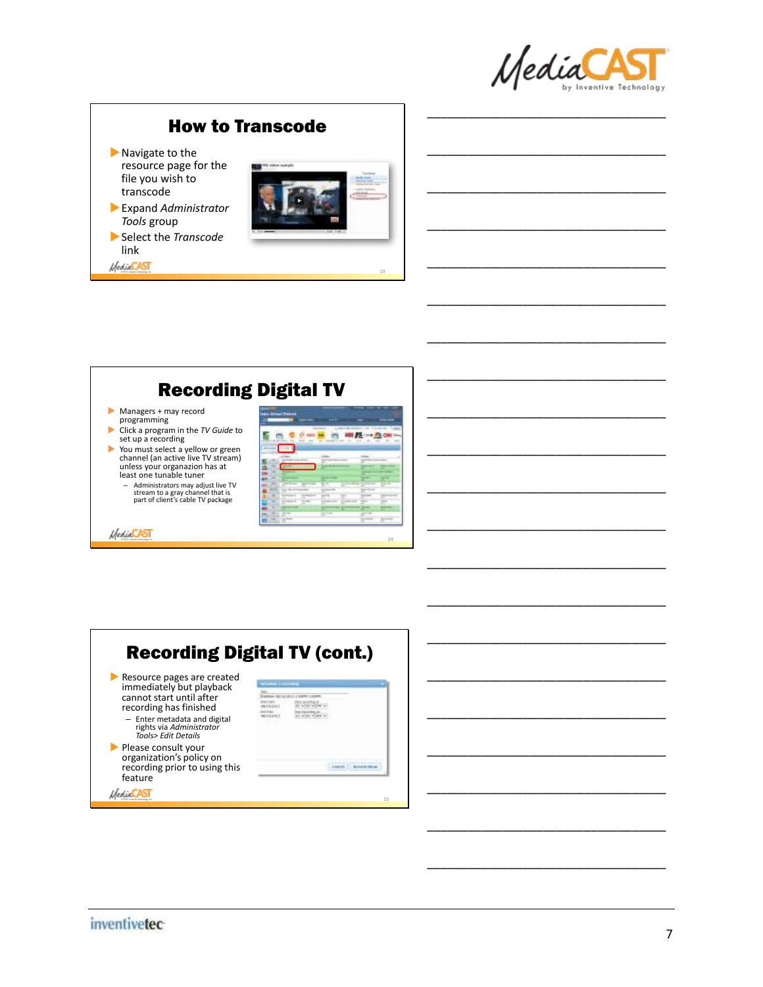

\_\_\_\_\_\_\_\_\_\_\_\_\_\_\_\_\_\_\_\_\_\_\_\_\_\_\_\_\_\_\_\_\_\_\_

\_\_\_\_\_\_\_\_\_\_\_\_\_\_\_\_\_\_\_\_\_\_\_\_\_\_\_\_\_\_\_\_\_\_\_

\_\_\_\_\_\_\_\_\_\_\_\_\_\_\_\_\_\_\_\_\_\_\_\_\_\_\_\_\_\_\_\_\_\_\_

\_\_\_\_\_\_\_\_\_\_\_\_\_\_\_\_\_\_\_\_\_\_\_\_\_\_\_\_\_\_\_\_\_\_\_

\_\_\_\_\_\_\_\_\_\_\_\_\_\_\_\_\_\_\_\_\_\_\_\_\_\_\_\_\_\_\_\_\_\_\_

\_\_\_\_\_\_\_\_\_\_\_\_\_\_\_\_\_\_\_\_\_\_\_\_\_\_\_\_\_\_\_\_\_\_\_

\_\_\_\_\_\_\_\_\_\_\_\_\_\_\_\_\_\_\_\_\_\_\_\_\_\_\_\_\_\_\_\_\_\_\_

\_\_\_\_\_\_\_\_\_\_\_\_\_\_\_\_\_\_\_\_\_\_\_\_\_\_\_\_\_\_\_\_\_\_\_

\_\_\_\_\_\_\_\_\_\_\_\_\_\_\_\_\_\_\_\_\_\_\_\_\_\_\_\_\_\_\_\_\_\_\_

\_\_\_\_\_\_\_\_\_\_\_\_\_\_\_\_\_\_\_\_\_\_\_\_\_\_\_\_\_\_\_\_\_\_\_

\_\_\_\_\_\_\_\_\_\_\_\_\_\_\_\_\_\_\_\_\_\_\_\_\_\_\_\_\_\_\_\_\_\_\_

\_\_\_\_\_\_\_\_\_\_\_\_\_\_\_\_\_\_\_\_\_\_\_\_\_\_\_\_\_\_\_\_\_\_\_

\_\_\_\_\_\_\_\_\_\_\_\_\_\_\_\_\_\_\_\_\_\_\_\_\_\_\_\_\_\_\_\_\_\_\_

\_\_\_\_\_\_\_\_\_\_\_\_\_\_\_\_\_\_\_\_\_\_\_\_\_\_\_\_\_\_\_\_\_\_\_

\_\_\_\_\_\_\_\_\_\_\_\_\_\_\_\_\_\_\_\_\_\_\_\_\_\_\_\_\_\_\_\_\_\_\_

#### How to Transcode

- Navigate to the resource page for the file you wish to transcode
- Expand *Administrator Tools* group
- Select the *Transcode*  link

*MediaCAST* 





|                                                                                                                                                                                                           | <b>Recording Digital TV (cont.)</b> |
|-----------------------------------------------------------------------------------------------------------------------------------------------------------------------------------------------------------|-------------------------------------|
| Resource pages are created<br>immediately but playback<br>cannot start until after<br>recording has finished<br>- Enter metadata and digital<br>rights via Administrator<br><b>Tools&gt; Edit Details</b> |                                     |
| Please consult your<br>organization's policy on<br>recording prior to using this<br>feature                                                                                                               |                                     |
|                                                                                                                                                                                                           | 25                                  |